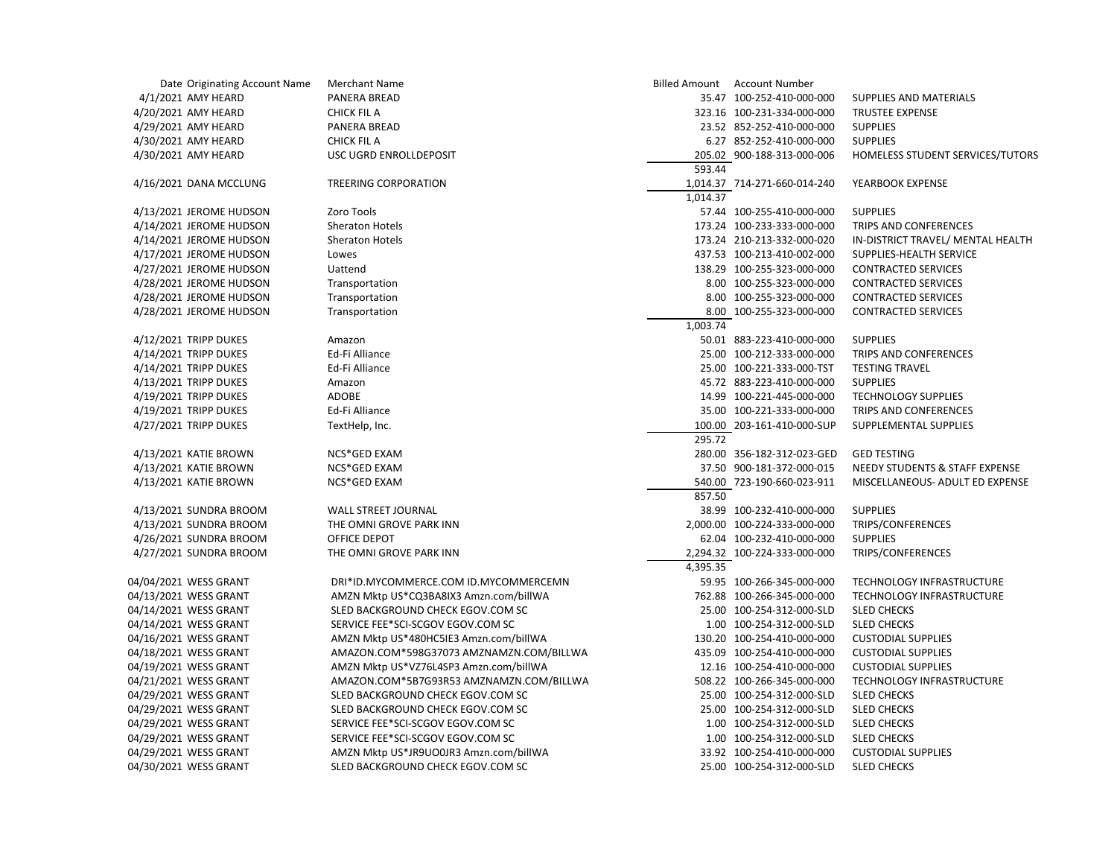| Date Originating Account Name | <b>Merchant Name</b>                     |          | Billed Amount Account Number                              |                                   |
|-------------------------------|------------------------------------------|----------|-----------------------------------------------------------|-----------------------------------|
| 4/1/2021 AMY HEARD            | <b>PANERA BREAD</b>                      |          | 35.47 100-252-410-000-000                                 | SUPPLIES AND MATERIALS            |
| 4/20/2021 AMY HEARD           | <b>CHICK FIL A</b>                       |          | 323.16 100-231-334-000-000                                | <b>TRUSTEE EXPENSE</b>            |
| 4/29/2021 AMY HEARD           | PANERA BREAD                             |          | 23.52 852-252-410-000-000                                 | <b>SUPPLIES</b>                   |
| 4/30/2021 AMY HEARD           | <b>CHICK FIL A</b>                       |          | 6.27 852-252-410-000-000                                  | <b>SUPPLIES</b>                   |
| 4/30/2021 AMY HEARD           | USC UGRD ENROLLDEPOSIT                   |          | 205.02 900-188-313-000-006                                | HOMELESS STUDENT SERVICES/TUTORS  |
|                               |                                          | 593.44   |                                                           |                                   |
| 4/16/2021 DANA MCCLUNG        | <b>TREERING CORPORATION</b>              |          | 1,014.37 714-271-660-014-240                              | YEARBOOK EXPENSE                  |
|                               |                                          | 1,014.37 |                                                           |                                   |
| 4/13/2021 JEROME HUDSON       | Zoro Tools                               |          | 57.44 100-255-410-000-000                                 | <b>SUPPLIES</b>                   |
| 4/14/2021 JEROME HUDSON       | <b>Sheraton Hotels</b>                   |          | 173.24 100-233-333-000-000                                | TRIPS AND CONFERENCES             |
| 4/14/2021 JEROME HUDSON       | <b>Sheraton Hotels</b>                   |          | 173.24 210-213-332-000-020                                | IN-DISTRICT TRAVEL/ MENTAL HEALTH |
| 4/17/2021 JEROME HUDSON       | Lowes                                    |          | 437.53 100-213-410-002-000                                | SUPPLIES-HEALTH SERVICE           |
| 4/27/2021 JEROME HUDSON       | Uattend                                  |          | 138.29 100-255-323-000-000                                | <b>CONTRACTED SERVICES</b>        |
| 4/28/2021 JEROME HUDSON       | Transportation                           |          | 8.00 100-255-323-000-000                                  | <b>CONTRACTED SERVICES</b>        |
| 4/28/2021 JEROME HUDSON       | Transportation                           |          | 8.00 100-255-323-000-000                                  | <b>CONTRACTED SERVICES</b>        |
| 4/28/2021 JEROME HUDSON       | Transportation                           |          | 8.00 100-255-323-000-000                                  | <b>CONTRACTED SERVICES</b>        |
|                               |                                          | 1,003.74 |                                                           |                                   |
| 4/12/2021 TRIPP DUKES         | Amazon                                   |          | 50.01 883-223-410-000-000                                 | <b>SUPPLIES</b>                   |
| 4/14/2021 TRIPP DUKES         | Ed-Fi Alliance                           |          | 25.00 100-212-333-000-000                                 | TRIPS AND CONFERENCES             |
| 4/14/2021 TRIPP DUKES         | Ed-Fi Alliance                           |          | 25.00 100-221-333-000-TST                                 | <b>TESTING TRAVEL</b>             |
| 4/13/2021 TRIPP DUKES         | Amazon                                   |          | 45.72 883-223-410-000-000                                 | <b>SUPPLIES</b>                   |
| 4/19/2021 TRIPP DUKES         | <b>ADOBE</b>                             |          | 14.99 100-221-445-000-000                                 | <b>TECHNOLOGY SUPPLIES</b>        |
| 4/19/2021 TRIPP DUKES         | Ed-Fi Alliance                           |          | 35.00 100-221-333-000-000                                 | TRIPS AND CONFERENCES             |
| 4/27/2021 TRIPP DUKES         | TextHelp, Inc.                           |          | 100.00 203-161-410-000-SUP                                | SUPPLEMENTAL SUPPLIES             |
|                               |                                          | 295.72   |                                                           |                                   |
| 4/13/2021 KATIE BROWN         | NCS*GED EXAM                             |          | 280.00 356-182-312-023-GED                                | <b>GED TESTING</b>                |
| 4/13/2021 KATIE BROWN         |                                          |          | 37.50 900-181-372-000-015                                 |                                   |
|                               | NCS*GED EXAM                             |          |                                                           | NEEDY STUDENTS & STAFF EXPENSE    |
| 4/13/2021 KATIE BROWN         | NCS*GED EXAM                             | 857.50   | 540.00 723-190-660-023-911                                | MISCELLANEOUS- ADULT ED EXPENSE   |
|                               |                                          |          |                                                           | <b>SUPPLIES</b>                   |
| 4/13/2021 SUNDRA BROOM        | <b>WALL STREET JOURNAL</b>               |          | 38.99 100-232-410-000-000<br>2,000.00 100-224-333-000-000 |                                   |
| 4/13/2021 SUNDRA BROOM        | THE OMNI GROVE PARK INN                  |          |                                                           | TRIPS/CONFERENCES                 |
| 4/26/2021 SUNDRA BROOM        | OFFICE DEPOT                             |          | 62.04 100-232-410-000-000                                 | <b>SUPPLIES</b>                   |
| 4/27/2021 SUNDRA BROOM        | THE OMNI GROVE PARK INN                  |          | 2,294.32 100-224-333-000-000                              | TRIPS/CONFERENCES                 |
|                               |                                          | 4,395.35 |                                                           |                                   |
| 04/04/2021 WESS GRANT         | DRI*ID.MYCOMMERCE.COM ID.MYCOMMERCEMN    |          | 59.95 100-266-345-000-000                                 | TECHNOLOGY INFRASTRUCTURE         |
| 04/13/2021 WESS GRANT         | AMZN Mktp US*CQ3BA8IX3 Amzn.com/billWA   |          | 762.88 100-266-345-000-000                                | <b>TECHNOLOGY INFRASTRUCTURE</b>  |
| 04/14/2021 WESS GRANT         | SLED BACKGROUND CHECK EGOV.COM SC        |          | 25.00 100-254-312-000-SLD                                 | <b>SLED CHECKS</b>                |
| 04/14/2021 WESS GRANT         | SERVICE FEE*SCI-SCGOV EGOV.COM SC        |          | 1.00 100-254-312-000-SLD                                  | <b>SLED CHECKS</b>                |
| 04/16/2021 WESS GRANT         | AMZN Mktp US*480HC5IE3 Amzn.com/billWA   |          | 130.20 100-254-410-000-000                                | <b>CUSTODIAL SUPPLIES</b>         |
| 04/18/2021 WESS GRANT         | AMAZON.COM*598G37073 AMZNAMZN.COM/BILLWA |          | 435.09 100-254-410-000-000                                | <b>CUSTODIAL SUPPLIES</b>         |
| 04/19/2021 WESS GRANT         | AMZN Mktp US*VZ76L4SP3 Amzn.com/billWA   |          | 12.16 100-254-410-000-000                                 | <b>CUSTODIAL SUPPLIES</b>         |
| 04/21/2021 WESS GRANT         | AMAZON.COM*5B7G93R53 AMZNAMZN.COM/BILLWA |          | 508.22 100-266-345-000-000                                | TECHNOLOGY INFRASTRUCTURE         |
| 04/29/2021 WESS GRANT         | SLED BACKGROUND CHECK EGOV.COM SC        |          | 25.00 100-254-312-000-SLD                                 | <b>SLED CHECKS</b>                |
| 04/29/2021 WESS GRANT         | SLED BACKGROUND CHECK EGOV.COM SC        |          | 25.00 100-254-312-000-SLD                                 | <b>SLED CHECKS</b>                |
| 04/29/2021 WESS GRANT         | SERVICE FEE*SCI-SCGOV EGOV.COM SC        |          | 1.00 100-254-312-000-SLD                                  | <b>SLED CHECKS</b>                |
| 04/29/2021 WESS GRANT         | SERVICE FEE*SCI-SCGOV EGOV.COM SC        |          | 1.00 100-254-312-000-SLD                                  | <b>SLED CHECKS</b>                |
| 04/29/2021 WESS GRANT         | AMZN Mktp US*JR9UO0JR3 Amzn.com/billWA   |          | 33.92 100-254-410-000-000                                 | <b>CUSTODIAL SUPPLIES</b>         |
| 04/30/2021 WESS GRANT         | SLED BACKGROUND CHECK EGOV.COM SC        |          | 25.00 100-254-312-000-SLD                                 | <b>SLED CHECKS</b>                |